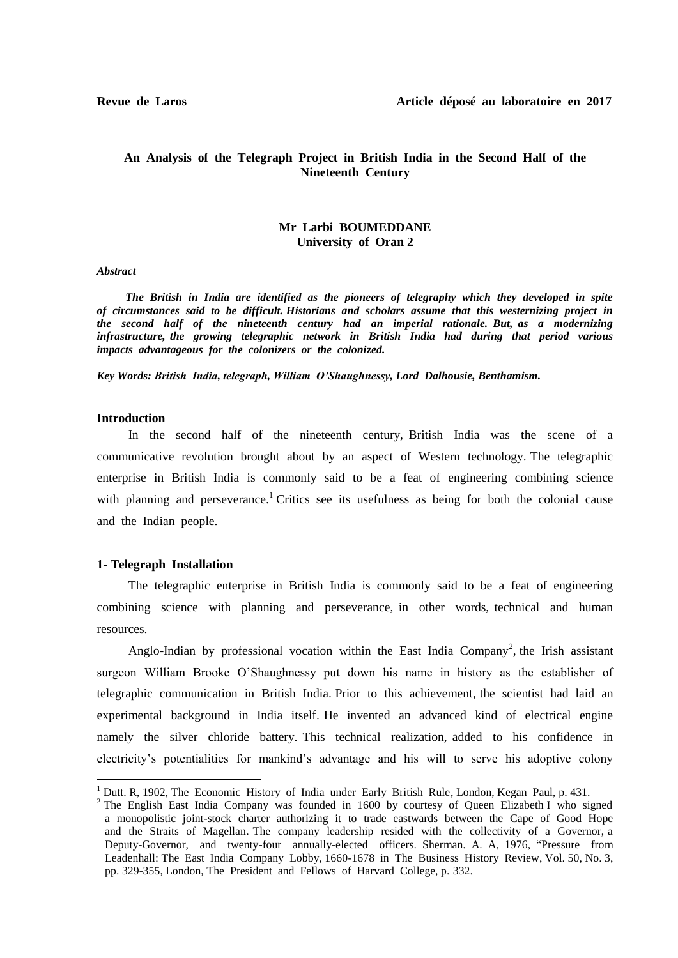# **An Analysis of the Telegraph Project in British India in the Second Half of the Nineteenth Century**

### **Mr Larbi BOUMEDDANE University of Oran 2**

*Abstract*

 *The British in India are identified as the pioneers of telegraphy which they developed in spite of circumstances said to be difficult. Historians and scholars assume that this westernizing project in the second half of the nineteenth century had an imperial rationale. But, as a modernizing infrastructure, the growing telegraphic network in British India had during that period various impacts advantageous for the colonizers or the colonized.* 

*Key Words: British India, telegraph, William O'Shaughnessy, Lord Dalhousie, Benthamism.* 

#### **Introduction**

**.** 

 In the second half of the nineteenth century, British India was the scene of a communicative revolution brought about by an aspect of Western technology. The telegraphic enterprise in British India is commonly said to be a feat of engineering combining science with planning and perseverance.<sup>1</sup> Critics see its usefulness as being for both the colonial cause and the Indian people.

### **1- Telegraph Installation**

 The telegraphic enterprise in British India is commonly said to be a feat of engineering combining science with planning and perseverance, in other words, technical and human resources.

Anglo-Indian by professional vocation within the East India Company<sup>2</sup>, the Irish assistant surgeon William Brooke O'Shaughnessy put down his name in history as the establisher of telegraphic communication in British India. Prior to this achievement, the scientist had laid an experimental background in India itself. He invented an advanced kind of electrical engine namely the silver chloride battery. This technical realization, added to his confidence in electricity's potentialities for mankind's advantage and his will to serve his adoptive colony

<sup>&</sup>lt;sup>1</sup> Dutt. R, 1902. The Economic History of India under Early British Rule, London, Kegan Paul, p. 431.

<sup>&</sup>lt;sup>2</sup> The English East India Company was founded in 1600 by courtesy of Queen Elizabeth I who signed a monopolistic joint-stock charter authorizing it to trade eastwards between the Cape of Good Hope and the Straits of Magellan. The company leadership resided with the collectivity of a Governor, a Deputy-Governor, and twenty-four annually-elected officers. Sherman. A. A, 1976, "Pressure from Leadenhall: The East India Company Lobby, 1660-1678 in The Business History Review, Vol. 50, No. 3, pp. 329-355, London, The President and Fellows of Harvard College, p. 332.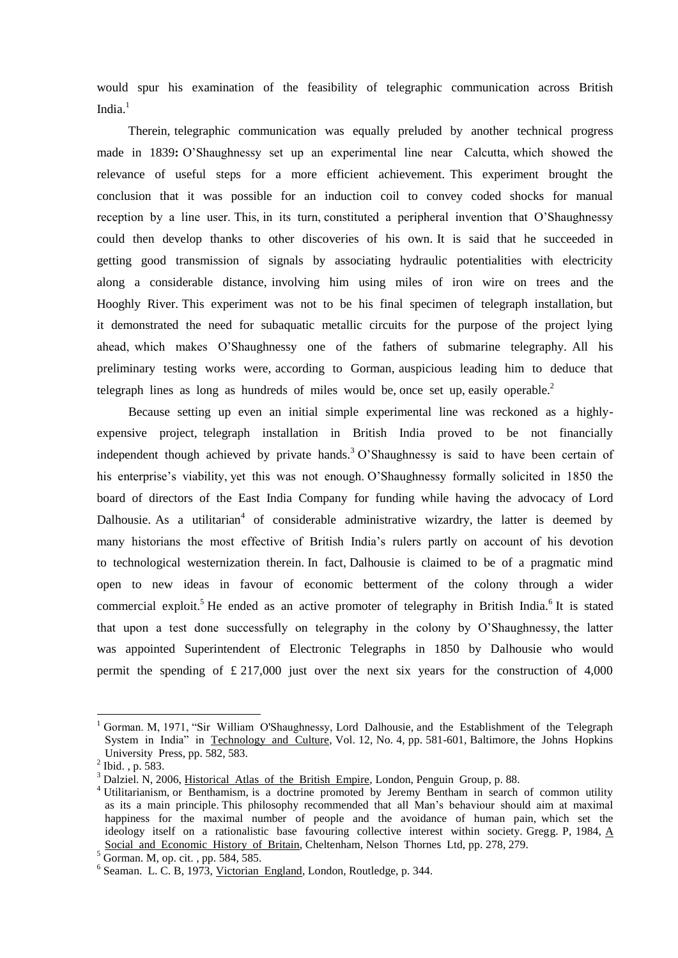would spur his examination of the feasibility of telegraphic communication across British India. $<sup>1</sup>$ </sup>

 Therein, telegraphic communication was equally preluded by another technical progress made in 1839**:** O'Shaughnessy set up an experimental line near Calcutta, which showed the relevance of useful steps for a more efficient achievement. This experiment brought the conclusion that it was possible for an induction coil to convey coded shocks for manual reception by a line user. This, in its turn, constituted a peripheral invention that O'Shaughnessy could then develop thanks to other discoveries of his own. It is said that he succeeded in getting good transmission of signals by associating hydraulic potentialities with electricity along a considerable distance, involving him using miles of iron wire on trees and the Hooghly River. This experiment was not to be his final specimen of telegraph installation, but it demonstrated the need for subaquatic metallic circuits for the purpose of the project lying ahead, which makes O'Shaughnessy one of the fathers of submarine telegraphy. All his preliminary testing works were, according to Gorman, auspicious leading him to deduce that telegraph lines as long as hundreds of miles would be, once set up, easily operable.<sup>2</sup>

 Because setting up even an initial simple experimental line was reckoned as a highlyexpensive project, telegraph installation in British India proved to be not financially independent though achieved by private hands.<sup>3</sup> O'Shaughnessy is said to have been certain of his enterprise's viability, yet this was not enough. O'Shaughnessy formally solicited in 1850 the board of directors of the East India Company for funding while having the advocacy of Lord Dalhousie. As a utilitarian<sup>4</sup> of considerable administrative wizardry, the latter is deemed by many historians the most effective of British India's rulers partly on account of his devotion to technological westernization therein. In fact, Dalhousie is claimed to be of a pragmatic mind open to new ideas in favour of economic betterment of the colony through a wider commercial exploit.<sup>5</sup> He ended as an active promoter of telegraphy in British India.<sup>6</sup> It is stated that upon a test done successfully on telegraphy in the colony by O'Shaughnessy, the latter was appointed Superintendent of Electronic Telegraphs in 1850 by Dalhousie who would permit the spending of  $\text{\pounds} 217,000$  just over the next six years for the construction of 4,000

 $\overline{a}$ 

<sup>1</sup> Gorman. M, 1971, "Sir William O'Shaughnessy, Lord Dalhousie, and the Establishment of the Telegraph System in India" in Technology and Culture, Vol. 12, No. 4, pp. 581-601, Baltimore, the Johns Hopkins University Press, pp. 582, 583.

 $^{2}$  Ibid., p. 583.

<sup>&</sup>lt;sup>3</sup> Dalziel. N, 2006, Historical Atlas of the British Empire, London, Penguin Group, p. 88.

<sup>&</sup>lt;sup>4</sup> Utilitarianism, or Benthamism, is a doctrine promoted by Jeremy Bentham in search of common utility as its a main principle. This philosophy recommended that all Man's behaviour should aim at maximal happiness for the maximal number of people and the avoidance of human pain, which set the ideology itself on a rationalistic base favouring collective interest within society. Gregg. P, 1984, A Social and Economic History of Britain, Cheltenham, Nelson Thornes Ltd, pp. 278, 279.

 $5\frac{\text{SOLian and LODI,}}{\text{Gorman. M, op. cit. } }$ , pp. 584, 585.

<sup>&</sup>lt;sup>6</sup> Seaman. L. C. B, 1973, Victorian England, London, Routledge, p. 344.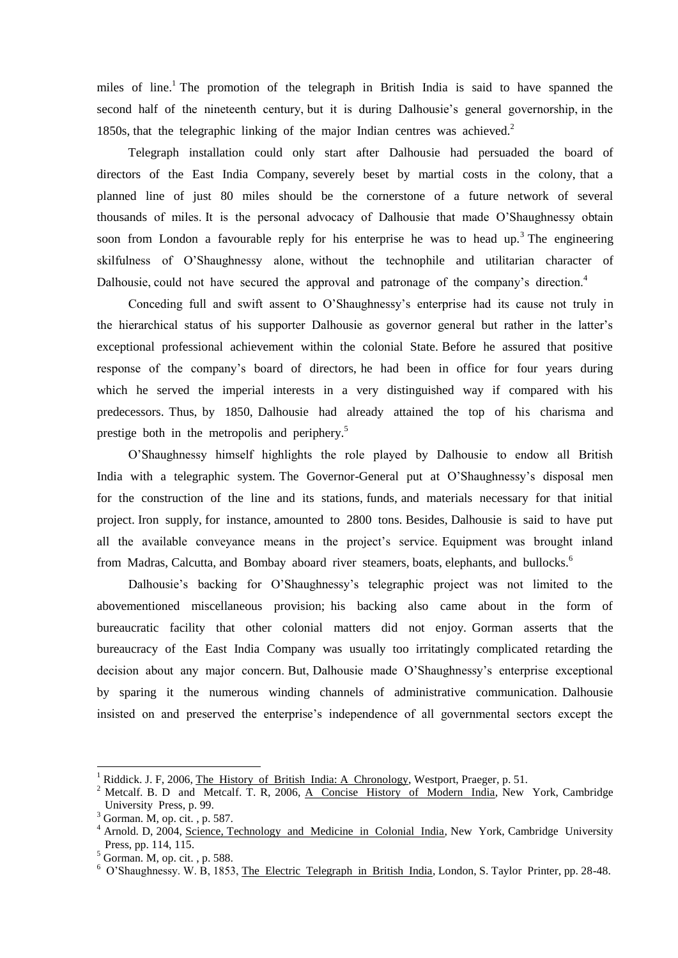miles of line.<sup>1</sup> The promotion of the telegraph in British India is said to have spanned the second half of the nineteenth century, but it is during Dalhousie's general governorship, in the 1850s, that the telegraphic linking of the major Indian centres was achieved.<sup>2</sup>

 Telegraph installation could only start after Dalhousie had persuaded the board of directors of the East India Company, severely beset by martial costs in the colony, that a planned line of just 80 miles should be the cornerstone of a future network of several thousands of miles. It is the personal advocacy of Dalhousie that made O'Shaughnessy obtain soon from London a favourable reply for his enterprise he was to head up.<sup>3</sup> The engineering skilfulness of O'Shaughnessy alone, without the technophile and utilitarian character of Dalhousie, could not have secured the approval and patronage of the company's direction.<sup>4</sup>

 Conceding full and swift assent to O'Shaughnessy's enterprise had its cause not truly in the hierarchical status of his supporter Dalhousie as governor general but rather in the latter's exceptional professional achievement within the colonial State. Before he assured that positive response of the company's board of directors, he had been in office for four years during which he served the imperial interests in a very distinguished way if compared with his predecessors. Thus, by 1850, Dalhousie had already attained the top of his charisma and prestige both in the metropolis and periphery.<sup>5</sup>

 O'Shaughnessy himself highlights the role played by Dalhousie to endow all British India with a telegraphic system. The Governor-General put at O'Shaughnessy's disposal men for the construction of the line and its stations, funds, and materials necessary for that initial project. Iron supply, for instance, amounted to 2800 tons. Besides, Dalhousie is said to have put all the available conveyance means in the project's service. Equipment was brought inland from Madras, Calcutta, and Bombay aboard river steamers, boats, elephants, and bullocks.<sup>6</sup>

 Dalhousie's backing for O'Shaughnessy's telegraphic project was not limited to the abovementioned miscellaneous provision; his backing also came about in the form of bureaucratic facility that other colonial matters did not enjoy. Gorman asserts that the bureaucracy of the East India Company was usually too irritatingly complicated retarding the decision about any major concern. But, Dalhousie made O'Shaughnessy's enterprise exceptional by sparing it the numerous winding channels of administrative communication. Dalhousie insisted on and preserved the enterprise's independence of all governmental sectors except the

**.** 

<sup>&</sup>lt;sup>1</sup> Riddick. J. F, 2006, The History of British India: A Chronology, Westport, Praeger, p. 51.

<sup>&</sup>lt;sup>2</sup> Metcalf. B. D and Metcalf. T. R, 2006, A Concise History of Modern India, New York, Cambridge University Press, p. 99.

 $3$  Gorman. M, op. cit., p. 587.

<sup>&</sup>lt;sup>4</sup> Arnold. D, 2004, Science, Technology and Medicine in Colonial India, New York, Cambridge University Press, pp. 114, 115.

 $5$  Gorman. M, op. cit., p. 588.

<sup>&</sup>lt;sup>6</sup> O'Shaughnessy. W. B, 1853, The Electric Telegraph in British India, London, S. Taylor Printer, pp. 28-48.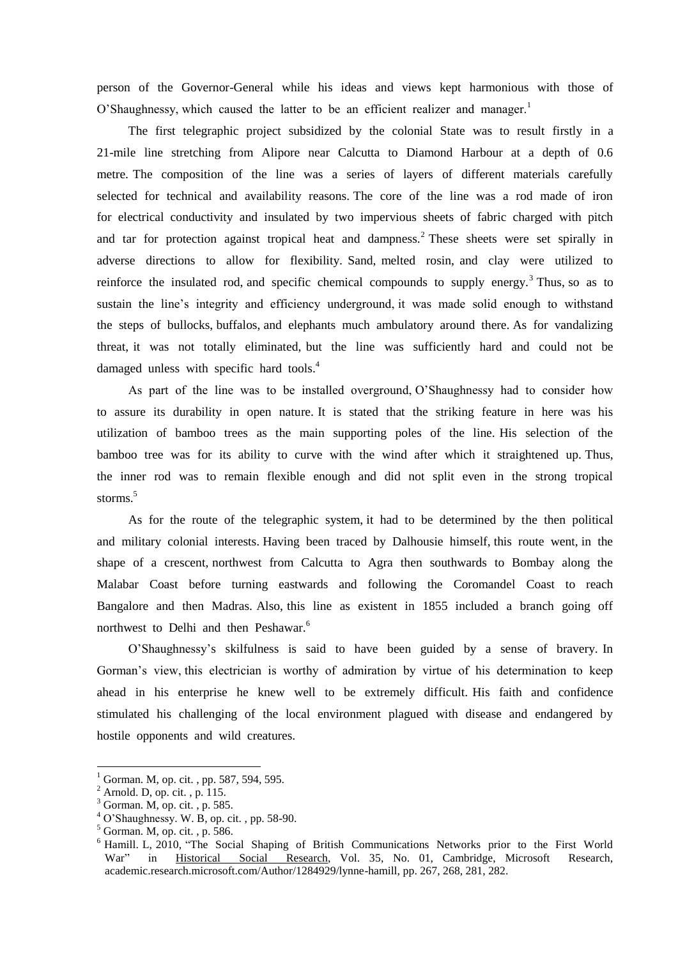person of the Governor-General while his ideas and views kept harmonious with those of O'Shaughnessy, which caused the latter to be an efficient realizer and manager.<sup>1</sup>

 The first telegraphic project subsidized by the colonial State was to result firstly in a 21-mile line stretching from Alipore near Calcutta to Diamond Harbour at a depth of 0.6 metre. The composition of the line was a series of layers of different materials carefully selected for technical and availability reasons. The core of the line was a rod made of iron for electrical conductivity and insulated by two impervious sheets of fabric charged with pitch and tar for protection against tropical heat and dampness.<sup>2</sup> These sheets were set spirally in adverse directions to allow for flexibility. Sand, melted rosin, and clay were utilized to reinforce the insulated rod, and specific chemical compounds to supply energy.<sup>3</sup> Thus, so as to sustain the line's integrity and efficiency underground, it was made solid enough to withstand the steps of bullocks, buffalos, and elephants much ambulatory around there. As for vandalizing threat, it was not totally eliminated, but the line was sufficiently hard and could not be damaged unless with specific hard tools.<sup>4</sup>

 As part of the line was to be installed overground, O'Shaughnessy had to consider how to assure its durability in open nature. It is stated that the striking feature in here was his utilization of bamboo trees as the main supporting poles of the line. His selection of the bamboo tree was for its ability to curve with the wind after which it straightened up. Thus, the inner rod was to remain flexible enough and did not split even in the strong tropical storms.<sup>5</sup>

 As for the route of the telegraphic system, it had to be determined by the then political and military colonial interests. Having been traced by Dalhousie himself, this route went, in the shape of a crescent, northwest from Calcutta to Agra then southwards to Bombay along the Malabar Coast before turning eastwards and following the Coromandel Coast to reach Bangalore and then Madras. Also, this line as existent in 1855 included a branch going off northwest to Delhi and then Peshawar.<sup>6</sup>

 O'Shaughnessy's skilfulness is said to have been guided by a sense of bravery. In Gorman's view, this electrician is worthy of admiration by virtue of his determination to keep ahead in his enterprise he knew well to be extremely difficult. His faith and confidence stimulated his challenging of the local environment plagued with disease and endangered by hostile opponents and wild creatures.

**.** 

Gorman. M, op. cit., pp. 587, 594, 595.

 $<sup>2</sup>$  Arnold. D, op. cit., p. 115.</sup>

<sup>3</sup> Gorman. M, op. cit. , p. 585.

 $4$  O'Shaughnessy. W. B, op. cit., pp. 58-90.

<sup>5</sup> Gorman. M, op. cit. , p. 586.

<sup>&</sup>lt;sup>6</sup> Hamill. L, 2010, "The Social Shaping of British Communications Networks prior to the First World War" in Historical Social Research, Vol. 35, No. 01, Cambridge, Microsoft Research, academic.research.microsoft.com/Author/1284929/lynne-hamill, pp. 267, 268, 281, 282.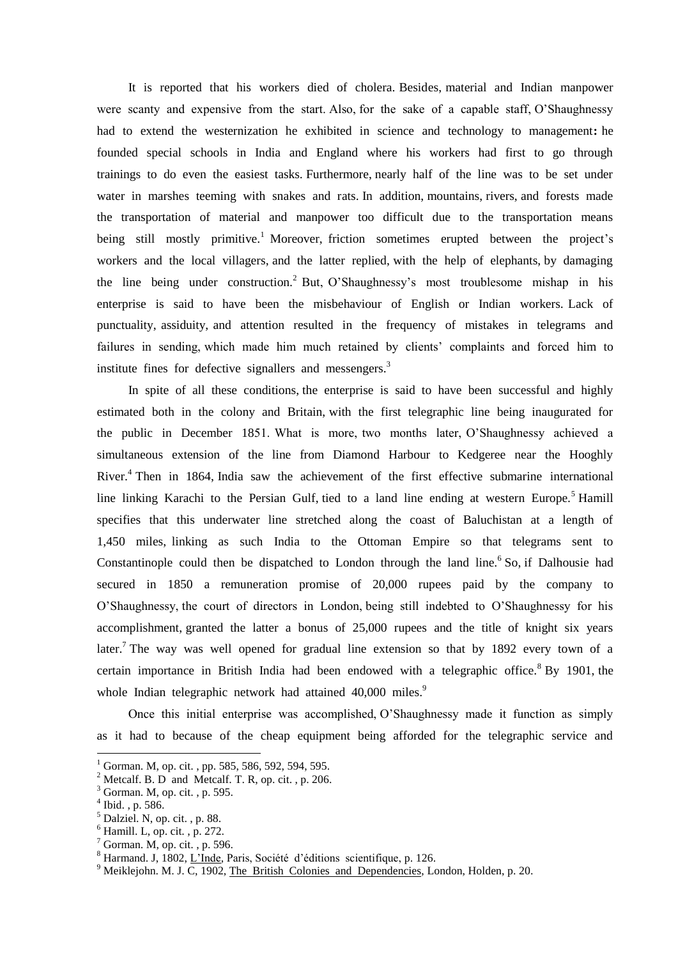It is reported that his workers died of cholera. Besides, material and Indian manpower were scanty and expensive from the start. Also, for the sake of a capable staff, O'Shaughnessy had to extend the westernization he exhibited in science and technology to management**:** he founded special schools in India and England where his workers had first to go through trainings to do even the easiest tasks. Furthermore, nearly half of the line was to be set under water in marshes teeming with snakes and rats. In addition, mountains, rivers, and forests made the transportation of material and manpower too difficult due to the transportation means being still mostly primitive.<sup>1</sup> Moreover, friction sometimes erupted between the project's workers and the local villagers, and the latter replied, with the help of elephants, by damaging the line being under construction.<sup>2</sup> But, O'Shaughnessy's most troublesome mishap in his enterprise is said to have been the misbehaviour of English or Indian workers. Lack of punctuality, assiduity, and attention resulted in the frequency of mistakes in telegrams and failures in sending, which made him much retained by clients' complaints and forced him to institute fines for defective signallers and messengers.<sup>3</sup>

 In spite of all these conditions, the enterprise is said to have been successful and highly estimated both in the colony and Britain, with the first telegraphic line being inaugurated for the public in December 1851. What is more, two months later, O'Shaughnessy achieved a simultaneous extension of the line from Diamond Harbour to Kedgeree near the Hooghly River.<sup>4</sup> Then in 1864, India saw the achievement of the first effective submarine international line linking Karachi to the Persian Gulf, tied to a land line ending at western Europe.<sup>5</sup> Hamill specifies that this underwater line stretched along the coast of Baluchistan at a length of 1,450 miles, linking as such India to the Ottoman Empire so that telegrams sent to Constantinople could then be dispatched to London through the land line.<sup>6</sup> So, if Dalhousie had secured in 1850 a remuneration promise of 20,000 rupees paid by the company to O'Shaughnessy, the court of directors in London, being still indebted to O'Shaughnessy for his accomplishment, granted the latter a bonus of 25,000 rupees and the title of knight six years later.<sup>7</sup> The way was well opened for gradual line extension so that by 1892 every town of a certain importance in British India had been endowed with a telegraphic office.<sup>8</sup> By 1901, the whole Indian telegraphic network had attained 40,000 miles.<sup>9</sup>

 Once this initial enterprise was accomplished, O'Shaughnessy made it function as simply as it had to because of the cheap equipment being afforded for the telegraphic service and

1

 $1$  Gorman. M, op. cit., pp. 585, 586, 592, 594, 595.

 $2^2$  Metcalf. B. D and Metcalf. T. R, op. cit., p. 206.

 $3$  Gorman. M, op. cit., p. 595.

<sup>4</sup> Ibid. , p. 586.

 $<sup>5</sup>$  Dalziel. N, op. cit., p. 88.</sup>

 $<sup>6</sup>$  Hamill. L, op. cit., p. 272.</sup>

 $7$  Gorman. M, op. cit., p. 596.

<sup>&</sup>lt;sup>8</sup> Harmand. J, 1802, L'Inde, Paris, Société d'éditions scientifique, p. 126.

 $9$  Meiklejohn. M. J. C, 1902, The British Colonies and Dependencies, London, Holden, p. 20.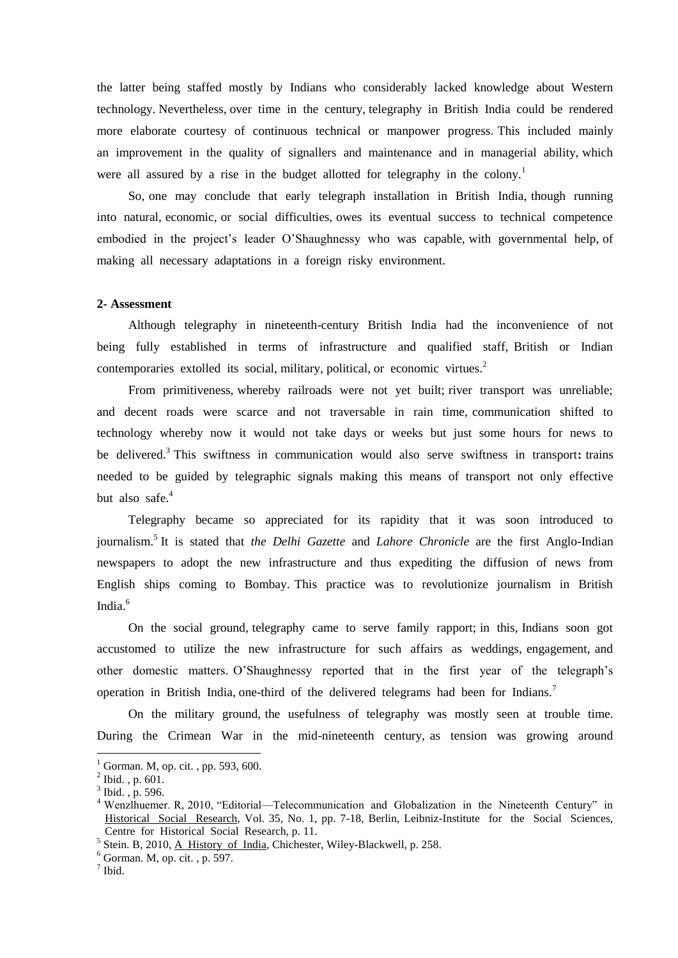the latter being staffed mostly by Indians who considerably lacked knowledge about Western technology. Nevertheless, over time in the century, telegraphy in British India could be rendered more elaborate courtesy of continuous technical or manpower progress. This included mainly an improvement in the quality of signallers and maintenance and in managerial ability, which were all assured by a rise in the budget allotted for telegraphy in the colony.<sup>1</sup>

 So, one may conclude that early telegraph installation in British India, though running into natural, economic, or social difficulties, owes its eventual success to technical competence embodied in the project's leader O'Shaughnessy who was capable, with governmental help, of making all necessary adaptations in a foreign risky environment.

#### **2- Assessment**

 Although telegraphy in nineteenth-century British India had the inconvenience of not being fully established in terms of infrastructure and qualified staff, British or Indian contemporaries extolled its social, military, political, or economic virtues. $2$ 

 From primitiveness, whereby railroads were not yet built; river transport was unreliable; and decent roads were scarce and not traversable in rain time, communication shifted to technology whereby now it would not take days or weeks but just some hours for news to be delivered.<sup>3</sup> This swiftness in communication would also serve swiftness in transport: trains needed to be guided by telegraphic signals making this means of transport not only effective but also safe.<sup>4</sup>

 Telegraphy became so appreciated for its rapidity that it was soon introduced to journalism.<sup>5</sup> It is stated that *the Delhi Gazette* and *Lahore Chronicle* are the first Anglo-Indian newspapers to adopt the new infrastructure and thus expediting the diffusion of news from English ships coming to Bombay. This practice was to revolutionize journalism in British India.<sup>6</sup>

 On the social ground, telegraphy came to serve family rapport; in this, Indians soon got accustomed to utilize the new infrastructure for such affairs as weddings, engagement, and other domestic matters. O'Shaughnessy reported that in the first year of the telegraph's operation in British India, one-third of the delivered telegrams had been for Indians.<sup>7</sup>

 On the military ground, the usefulness of telegraphy was mostly seen at trouble time. During the Crimean War in the mid-nineteenth century, as tension was growing around

1

Gorman. M, op. cit., pp. 593, 600.

 $^{2}$  Ibid., p. 601.

 $3$  Ibid., p. 596.

<sup>4</sup> Wenzlhuemer. R, 2010, "Editorial—Telecommunication and Globalization in the Nineteenth Century" in Historical Social Research, Vol. 35, No. 1, pp. 7-18, Berlin, Leibniz-Institute for the Social Sciences, Centre for Historical Social Research, p. 11.

<sup>&</sup>lt;sup>5</sup> Stein. B, 2010, <u>A History of India</u>, Chichester, Wiley-Blackwell, p. 258.

 $<sup>6</sup>$  Gorman. M, op. cit., p. 597.</sup>

<sup>7</sup> Ibid.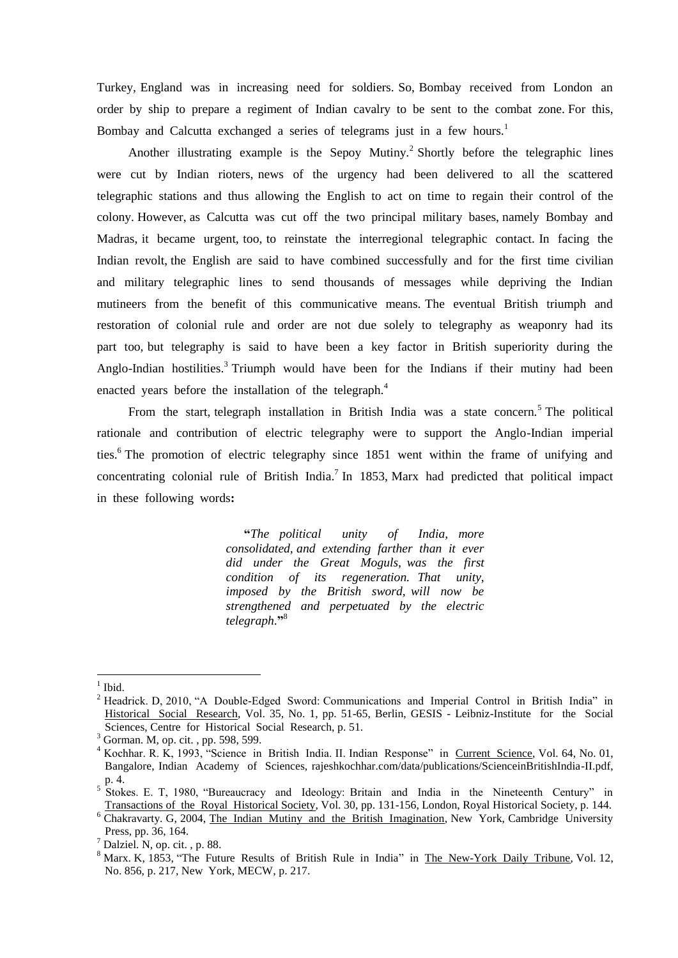Turkey, England was in increasing need for soldiers. So, Bombay received from London an order by ship to prepare a regiment of Indian cavalry to be sent to the combat zone. For this, Bombay and Calcutta exchanged a series of telegrams just in a few hours.<sup>1</sup>

Another illustrating example is the Sepoy Mutiny.<sup>2</sup> Shortly before the telegraphic lines were cut by Indian rioters, news of the urgency had been delivered to all the scattered telegraphic stations and thus allowing the English to act on time to regain their control of the colony. However, as Calcutta was cut off the two principal military bases, namely Bombay and Madras, it became urgent, too, to reinstate the interregional telegraphic contact. In facing the Indian revolt, the English are said to have combined successfully and for the first time civilian and military telegraphic lines to send thousands of messages while depriving the Indian mutineers from the benefit of this communicative means. The eventual British triumph and restoration of colonial rule and order are not due solely to telegraphy as weaponry had its part too, but telegraphy is said to have been a key factor in British superiority during the Anglo-Indian hostilities.<sup>3</sup> Triumph would have been for the Indians if their mutiny had been enacted years before the installation of the telegraph.<sup>4</sup>

From the start, telegraph installation in British India was a state concern.<sup>5</sup> The political rationale and contribution of electric telegraphy were to support the Anglo-Indian imperial ties.<sup>6</sup> The promotion of electric telegraphy since 1851 went within the frame of unifying and concentrating colonial rule of British India.<sup>7</sup> In 1853, Marx had predicted that political impact in these following words**:**

> **"***The political unity of India, more consolidated, and extending farther than it ever did under the Great Moguls, was the first condition of its regeneration. That unity, imposed by the British sword, will now be strengthened and perpetuated by the electric telegraph*.**"** 8

1

<sup>1</sup> Ibid.

<sup>&</sup>lt;sup>2</sup> Headrick. D, 2010, "A Double-Edged Sword: Communications and Imperial Control in British India" in Historical Social Research, Vol. 35, No. 1, pp. 51-65, Berlin, GESIS - Leibniz-Institute for the Social Sciences, Centre for Historical Social Research, p. 51.

<sup>&</sup>lt;sup>3</sup> Gorman. M, op. cit., pp. 598, 599.

<sup>&</sup>lt;sup>4</sup> Kochhar. R. K, 1993, "Science in British India. II. Indian Response" in Current Science, Vol. 64, No. 01, Bangalore, Indian Academy of Sciences, rajeshkochhar.com/data/publications/ScienceinBritishIndia-II.pdf, p. 4. 5

Stokes. E. T, 1980, "Bureaucracy and Ideology: Britain and India in the Nineteenth Century" in Transactions of the Royal Historical Society, Vol. 30, pp. 131-156, London, Royal Historical Society, p. 144.

<sup>&</sup>lt;sup>6</sup> Chakravarty. G, 2004, The Indian Mutiny and the British Imagination, New York, Cambridge University Press, pp. 36, 164.

 $<sup>7</sup>$  Dalziel. N, op. cit., p. 88.</sup>

<sup>&</sup>lt;sup>8</sup> Marx. K, 1853, "The Future Results of British Rule in India" in The New-York Daily Tribune, Vol. 12, No. 856, p. 217, New York, MECW, p. 217.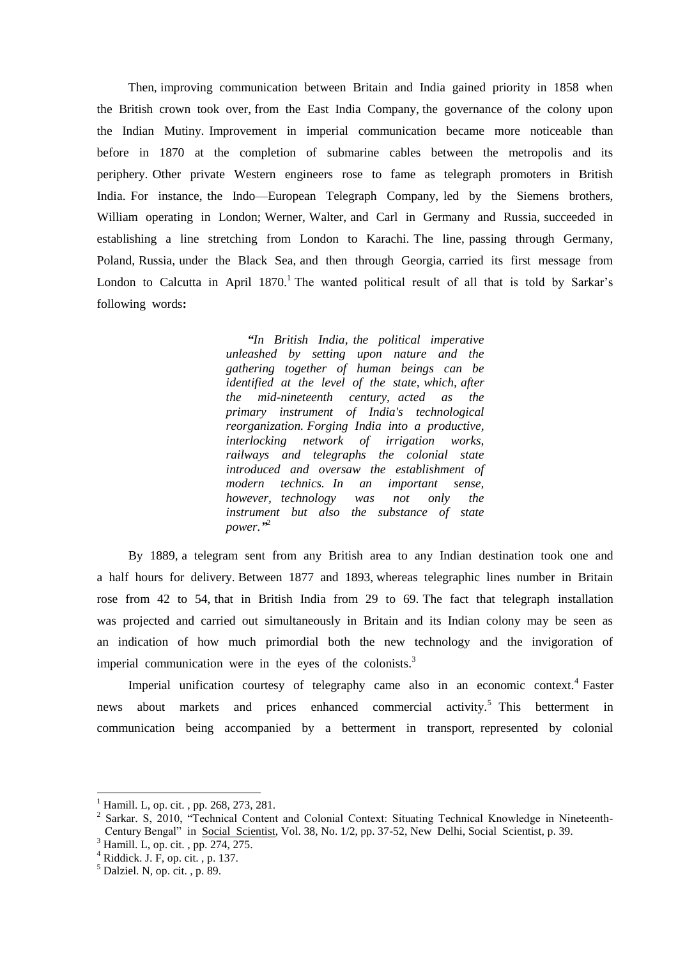Then, improving communication between Britain and India gained priority in 1858 when the British crown took over, from the East India Company, the governance of the colony upon the Indian Mutiny. Improvement in imperial communication became more noticeable than before in 1870 at the completion of submarine cables between the metropolis and its periphery. Other private Western engineers rose to fame as telegraph promoters in British India. For instance, the Indo—European Telegraph Company, led by the Siemens brothers, William operating in London; Werner, Walter, and Carl in Germany and Russia, succeeded in establishing a line stretching from London to Karachi. The line, passing through Germany, Poland, Russia, under the Black Sea, and then through Georgia, carried its first message from London to Calcutta in April 1870.<sup>1</sup> The wanted political result of all that is told by Sarkar's following words**:**

> *"In British India, the political imperative unleashed by setting upon nature and the gathering together of human beings can be identified at the level of the state, which, after the mid-nineteenth century, acted as the primary instrument of India's technological reorganization. Forging India into a productive, interlocking network of irrigation works, railways and telegraphs the colonial state introduced and oversaw the establishment of modern technics. In an important sense, however, technology was not only the instrument but also the substance of state power."* 2

 By 1889, a telegram sent from any British area to any Indian destination took one and a half hours for delivery. Between 1877 and 1893, whereas telegraphic lines number in Britain rose from 42 to 54, that in British India from 29 to 69. The fact that telegraph installation was projected and carried out simultaneously in Britain and its Indian colony may be seen as an indication of how much primordial both the new technology and the invigoration of imperial communication were in the eyes of the colonists. $3$ 

Imperial unification courtesy of telegraphy came also in an economic context.<sup>4</sup> Faster news about markets and prices enhanced commercial activity.<sup>5</sup> This betterment in communication being accompanied by a betterment in transport, represented by colonial

 $\overline{a}$ 

Hamill. L, op. cit., pp. 268, 273, 281.

<sup>2</sup> Sarkar. S, 2010, "Technical Content and Colonial Context: Situating Technical Knowledge in Nineteenth-Century Bengal" in Social Scientist, Vol. 38, No. 1/2, pp. 37-52, New Delhi, Social Scientist, p. 39.

<sup>&</sup>lt;sup>3</sup> Hamill. L, op. cit., pp. 274, 275.

 $<sup>4</sup>$  Riddick. J. F, op. cit., p. 137.</sup>

 $<sup>5</sup>$  Dalziel. N, op. cit., p. 89.</sup>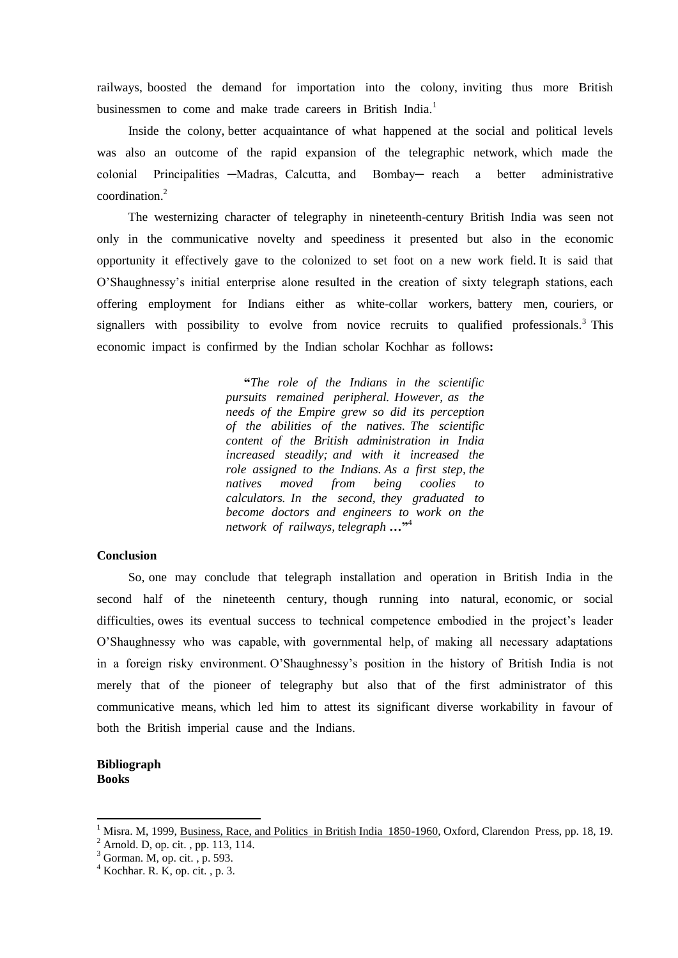railways, boosted the demand for importation into the colony, inviting thus more British businessmen to come and make trade careers in British India.<sup>1</sup>

 Inside the colony, better acquaintance of what happened at the social and political levels was also an outcome of the rapid expansion of the telegraphic network, which made the colonial Principalities —Madras, Calcutta, and Bombay— reach a better administrative coordination<sup>2</sup>

 The westernizing character of telegraphy in nineteenth-century British India was seen not only in the communicative novelty and speediness it presented but also in the economic opportunity it effectively gave to the colonized to set foot on a new work field. It is said that O'Shaughnessy's initial enterprise alone resulted in the creation of sixty telegraph stations, each offering employment for Indians either as white-collar workers, battery men, couriers, or signallers with possibility to evolve from novice recruits to qualified professionals.<sup>3</sup> This economic impact is confirmed by the Indian scholar Kochhar as follows**:**

> **"***The role of the Indians in the scientific pursuits remained peripheral. However, as the needs of the Empire grew so did its perception of the abilities of the natives. The scientific content of the British administration in India increased steadily; and with it increased the role assigned to the Indians. As a first step, the natives moved from being coolies to calculators. In the second, they graduated to become doctors and engineers to work on the network of railways, telegraph …***"** 4

### **Conclusion**

 So, one may conclude that telegraph installation and operation in British India in the second half of the nineteenth century, though running into natural, economic, or social difficulties, owes its eventual success to technical competence embodied in the project's leader O'Shaughnessy who was capable, with governmental help, of making all necessary adaptations in a foreign risky environment. O'Shaughnessy's position in the history of British India is not merely that of the pioneer of telegraphy but also that of the first administrator of this communicative means, which led him to attest its significant diverse workability in favour of both the British imperial cause and the Indians.

### **Bibliograph Books**

**.** 

<sup>1</sup> Misra. M, 1999, Business, Race, and Politics in British India 1850-1960, Oxford, Clarendon Press, pp. 18, 19.

 $^{2}$  Arnold. D, op. cit., pp. 113, 114.

 $3$  Gorman. M, op. cit., p. 593.

 $4$  Kochhar. R. K, op. cit., p. 3.